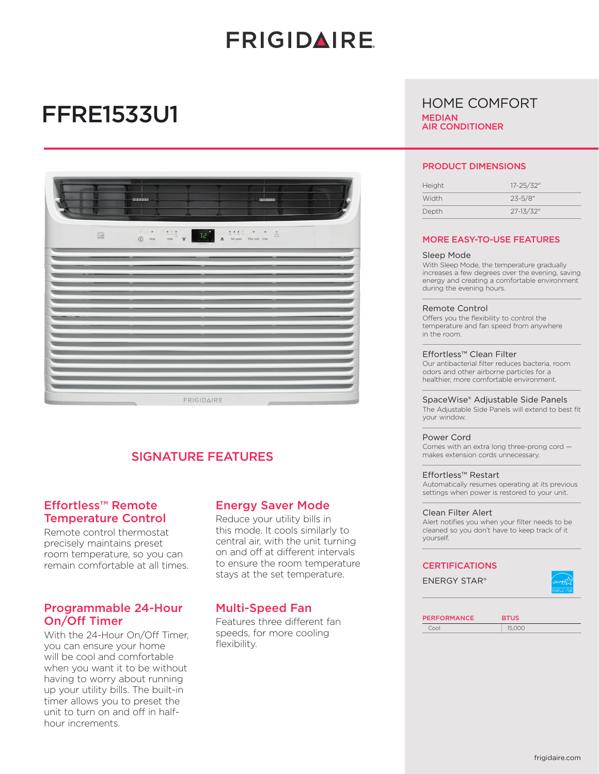# **FRIGIDAIRE**

## FFRE1533U1

|                                | -INTERNATIONAL                                                                                                                                                                                                                                                                                                                                                                                                                                                                                                                                                                    |                   | $-1001000000$<br>п |  |
|--------------------------------|-----------------------------------------------------------------------------------------------------------------------------------------------------------------------------------------------------------------------------------------------------------------------------------------------------------------------------------------------------------------------------------------------------------------------------------------------------------------------------------------------------------------------------------------------------------------------------------|-------------------|--------------------|--|
| $\quad \  \  \, \boxdot \quad$ | $\begin{array}{ccccc} \circ & & \circ & \circ & \circ \\ \circ & & \circ & \circ & \circ \end{array} \qquad \begin{array}{c} \bullet & \bullet & \bullet & \bullet \\ \bullet & \bullet & \bullet & \bullet \end{array} \qquad \begin{array}{c} \bullet & \bullet & \bullet & \bullet \\ \bullet & \bullet & \bullet & \bullet \end{array} \qquad \begin{array}{c} \bullet & \bullet & \bullet & \bullet \\ \bullet & \bullet & \bullet & \bullet \end{array} \qquad \begin{array}{c} \bullet & \bullet & \bullet & \bullet \\ \bullet & \bullet & \bullet & \bullet \end{array}$ |                   |                    |  |
|                                |                                                                                                                                                                                                                                                                                                                                                                                                                                                                                                                                                                                   |                   |                    |  |
|                                |                                                                                                                                                                                                                                                                                                                                                                                                                                                                                                                                                                                   |                   |                    |  |
|                                |                                                                                                                                                                                                                                                                                                                                                                                                                                                                                                                                                                                   |                   |                    |  |
|                                |                                                                                                                                                                                                                                                                                                                                                                                                                                                                                                                                                                                   |                   |                    |  |
|                                |                                                                                                                                                                                                                                                                                                                                                                                                                                                                                                                                                                                   |                   |                    |  |
|                                |                                                                                                                                                                                                                                                                                                                                                                                                                                                                                                                                                                                   |                   |                    |  |
|                                |                                                                                                                                                                                                                                                                                                                                                                                                                                                                                                                                                                                   | <b>FRIGIDAIRE</b> | <b>Sellen</b>      |  |

## SIGNATURE FEATURES

## Effortless™ Remote Temperature Control

Remote control thermostat precisely maintains preset room temperature, so you can remain comfortable at all times.

## Programmable 24-Hour On/Off Timer

With the 24-Hour On/Off Timer, you can ensure your home will be cool and comfortable when you want it to be without having to worry about running up your utility bills. The built-in timer allows you to preset the unit to turn on and off in halfhour increments.

### Energy Saver Mode

Reduce your utility bills in this mode. It cools similarly to central air, with the unit turning on and off at different intervals to ensure the room temperature stays at the set temperature.

## Multi-Speed Fan

Features three different fan speeds, for more cooling flexibility.

## HOME COMFORT **MEDIAN**

AIR CONDITIONER

#### PRODUCT DIMENSIONS

| Height | 17-25/32"    |
|--------|--------------|
| Width  | $23 - 5/8$ " |
| Depth  | 27-13/32"    |
|        |              |

#### MORE EASY-TO-USE FEATURES

#### Sleep Mode

With Sleep Mode, the temperature gradually increases a few degrees over the evening, saving energy and creating a comfortable environment during the evening hours.

#### Remote Control

Offers you the flexibility to control the temperature and fan speed from anywhere in the room.

#### Effortless™ Clean Filter

Our antibacterial filter reduces bacteria, room odors and other airborne particles for a healthier, more comfortable environment.

#### SpaceWise® Adjustable Side Panels

The Adjustable Side Panels will extend to best fit your window.

#### Power Cord

Comes with an extra long three-prong cord makes extension cords unnecessary.

#### Effortless™ Restart

Automatically resumes operating at its previous settings when power is restored to your unit.

#### Clean Filter Alert

Alert notifies you when your filter needs to be cleaned so you don't have to keep track of it yourself.

#### **CERTIFICATIONS**

ENERGY STAR®



| <b>PERFORMANCE</b> | <b>BTUS</b> |
|--------------------|-------------|
| Cool               | 15,000      |